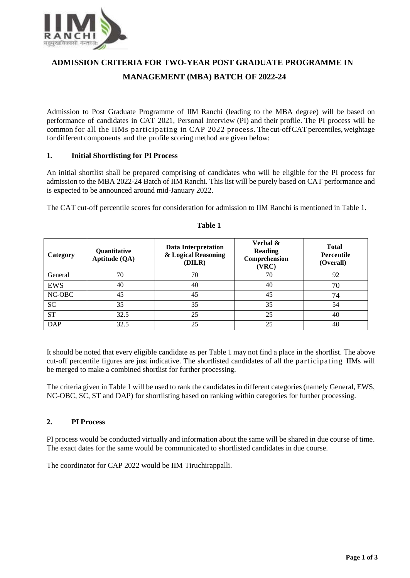

# **ADMISSION CRITERIA FOR TWO-YEAR POST GRADUATE PROGRAMME IN MANAGEMENT (MBA) BATCH OF 2022-24**

Admission to Post Graduate Programme of IIM Ranchi (leading to the MBA degree) will be based on performance of candidates in CAT 2021, Personal Interview (PI) and their profile. The PI process will be common for all the IIMs participating in CAP 2022 process. The cut-off CAT percentiles, weightage for different components and the profile scoring method are given below:

# **1. Initial Shortlisting for PI Process**

An initial shortlist shall be prepared comprising of candidates who will be eligible for the PI process for admission to the MBA 2022-24 Batch of IIM Ranchi. This list will be purely based on CAT performance and is expected to be announced around mid-January 2022.

The CAT cut-off percentile scores for consideration for admission to IIM Ranchi is mentioned in Table 1.

| Category   | Quantitative<br>Aptitude (QA) | Data Interpretation<br>& Logical Reasoning<br>(DILR) | Verbal &<br><b>Reading</b><br>Comprehension<br>(VRC) | <b>Total</b><br><b>Percentile</b><br>(Overall) |
|------------|-------------------------------|------------------------------------------------------|------------------------------------------------------|------------------------------------------------|
| General    | 70                            | 70                                                   | 70                                                   | 92                                             |
| <b>EWS</b> | 40                            | 40                                                   | 40                                                   | 70                                             |
| NC-OBC     | 45                            | 45                                                   | 45                                                   | 74                                             |
| <b>SC</b>  | 35                            | 35                                                   | 35                                                   | 54                                             |
| <b>ST</b>  | 32.5                          | 25                                                   | 25                                                   | 40                                             |
| <b>DAP</b> | 32.5                          | 25                                                   | 25                                                   | 40                                             |

# **Table 1**

It should be noted that every eligible candidate as per Table 1 may not find a place in the shortlist. The above cut-off percentile figures are just indicative. The shortlisted candidates of all the participating IIMs will be merged to make a combined shortlist for further processing.

The criteria given in Table 1 will be used to rank the candidates in different categories (namely General, EWS, NC-OBC, SC, ST and DAP) for shortlisting based on ranking within categories for further processing.

# **2. PI Process**

PI process would be conducted virtually and information about the same will be shared in due course of time. The exact dates for the same would be communicated to shortlisted candidates in due course.

The coordinator for CAP 2022 would be IIM Tiruchirappalli.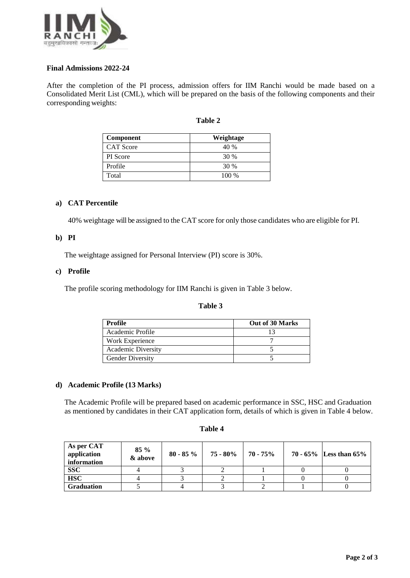

# **Final Admissions 2022-24**

After the completion of the PI process, admission offers for IIM Ranchi would be made based on a Consolidated Merit List (CML), which will be prepared on the basis of the following components and their corresponding weights:

| mı<br>н |  |
|---------|--|
|---------|--|

| Component        | Weightage |
|------------------|-----------|
| <b>CAT</b> Score | 40 %      |
| <b>PI</b> Score  | 30 %      |
| Profile          | 30 %      |
| Total            | 100 %     |

### **a) CAT Percentile**

40% weightage will be assigned to the CAT score for only those candidates who are eligible for PI.

### **b) PI**

The weightage assigned for Personal Interview (PI) score is 30%.

### **c) Profile**

The profile scoring methodology for IIM Ranchi is given in Table 3 below.

### **Table 3**

| Profile                   | Out of 30 Marks |
|---------------------------|-----------------|
| Academic Profile          |                 |
| Work Experience           |                 |
| <b>Academic Diversity</b> |                 |
| <b>Gender Diversity</b>   |                 |

# **d) Academic Profile (13 Marks)**

The Academic Profile will be prepared based on academic performance in SSC, HSC and Graduation as mentioned by candidates in their CAT application form, details of which is given in Table 4 below.

| As per CAT<br>application<br>information | $85\%$<br>& above | $80 - 85\%$ | $75 - 80\%$ 70 - $75\%$ |  | 70 - $65\%$ Less than $65\%$ |
|------------------------------------------|-------------------|-------------|-------------------------|--|------------------------------|
| <b>SSC</b>                               |                   |             |                         |  |                              |
| <b>HSC</b>                               |                   |             |                         |  |                              |
| <b>Graduation</b>                        |                   |             |                         |  |                              |

#### **Table 4**